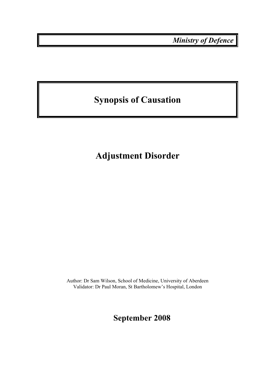*Ministry of Defence* 

# **Synopsis of Causation**

# **Adjustment Disorder**

Author: Dr Sam Wilson, School of Medicine, University of Aberdeen Validator: Dr Paul Moran, St Bartholomew's Hospital, London

**September 2008**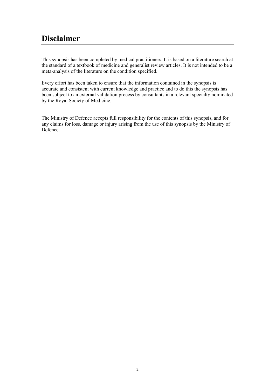## **Disclaimer**

This synopsis has been completed by medical practitioners. It is based on a literature search at the standard of a textbook of medicine and generalist review articles. It is not intended to be a meta-analysis of the literature on the condition specified.

Every effort has been taken to ensure that the information contained in the synopsis is accurate and consistent with current knowledge and practice and to do this the synopsis has been subject to an external validation process by consultants in a relevant specialty nominated by the Royal Society of Medicine.

The Ministry of Defence accepts full responsibility for the contents of this synopsis, and for any claims for loss, damage or injury arising from the use of this synopsis by the Ministry of Defence.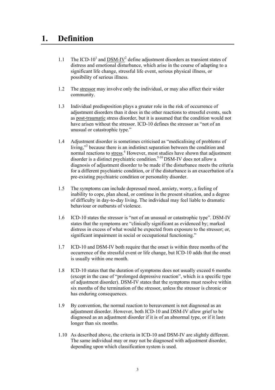### **1. Definition**

- 1.1 The ICD-10<sup>1</sup> and  $\overline{DSM-IV}^2$  define adjustment disorders as transient states of distress and emotional disturbance, which arise in the course of adapting to a significant life change, stressful life event, serious physical illness, or possibility of serious illness.
- 1.2 The stressor may involve only the individual, or may also affect their wider community.
- 1.3 Individual predisposition plays a greater role in the risk of occurrence of adjustment disorders than it does in the other reactions to stressful events, such as post-traumatic stress disorder, but it is assumed that the condition would not have arisen without the stressor. ICD-10 defines the stressor as "not of an unusual or catastrophic type."
- 1.4 Adjustment disorder is sometimes criticised as "medicalising of problems of living,"<sup>3</sup> because there is an indistinct separation between the condition and normal reactions to stress.<sup>4</sup> However, most studies have shown that adjustment disorder is a distinct psychiatric condition.<sup>5-10</sup> DSM-IV does not allow a diagnosis of adjustment disorder to be made if the disturbance meets the criteria for a different psychiatric condition, or if the disturbance is an exacerbation of a pre-existing psychiatric condition or personality disorder.
- 1.5 The symptoms can include depressed mood, anxiety, worry, a feeling of inability to cope, plan ahead, or continue in the present situation, and a degree of difficulty in day-to-day living. The individual may feel liable to dramatic behaviour or outbursts of violence.
- 1.6 ICD-10 states the stressor is "not of an unusual or catastrophic type". DSM-IV states that the symptoms are "clinically significant as evidenced by; marked distress in excess of what would be expected from exposure to the stressor; or, significant impairment in social or occupational functioning."
- 1.7 ICD-10 and DSM-IV both require that the onset is within three months of the occurrence of the stressful event or life change, but ICD-10 adds that the onset is usually within one month.
- 1.8 ICD-10 states that the duration of symptoms does not usually exceed 6 months (except in the case of "prolonged depressive reaction", which is a specific type of adjustment disorder). DSM-IV states that the symptoms must resolve within six months of the termination of the stressor, unless the stressor is chronic or has enduring consequences.
- 1.9 By convention, the normal reaction to bereavement is not diagnosed as an adjustment disorder. However, both ICD-10 and DSM-IV allow grief to be diagnosed as an adjustment disorder if it is of an abnormal type, or if it lasts longer than six months.
- 1.10 As described above, the criteria in ICD-10 and DSM-IV are slightly different. The same individual may or may not be diagnosed with adjustment disorder, depending upon which classification system is used.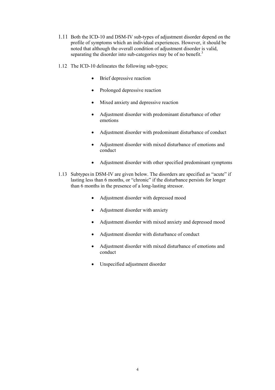- 1.11 Both the ICD-10 and DSM-IV sub-types of adjustment disorder depend on the profile of symptoms which an individual experiences. However, it should be noted that although the overall condition of adjustment disorder is valid, separating the disorder into sub-categories may be of no benefit.<sup>3</sup>
- 1.12 The ICD-10 delineates the following sub-types;
	- Brief depressive reaction
	- Prolonged depressive reaction
	- Mixed anxiety and depressive reaction
	- Adjustment disorder with predominant disturbance of other emotions
	- Adjustment disorder with predominant disturbance of conduct
	- Adjustment disorder with mixed disturbance of emotions and conduct
	- Adjustment disorder with other specified predominant symptoms
- 1.13 Subtypesin DSM-IV are given below. The disorders are specified as "acute" if lasting less than 6 months, or "chronic" if the disturbance persists for longer than 6 months in the presence of a long-lasting stressor.
	- Adjustment disorder with depressed mood
	- Adjustment disorder with anxiety
	- Adjustment disorder with mixed anxiety and depressed mood
	- Adjustment disorder with disturbance of conduct
	- Adjustment disorder with mixed disturbance of emotions and conduct
	- Unspecified adjustment disorder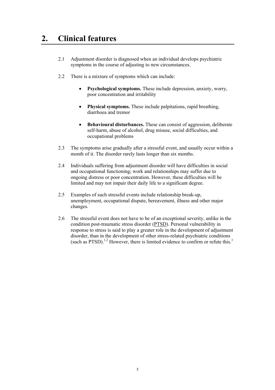## **2. Clinical features**

- 2.1 Adjustment disorder is diagnosed when an individual develops psychiatric symptoms in the course of adjusting to new circumstances.
- 2.2 There is a mixture of symptoms which can include:
	- **Psychological symptoms.** These include depression, anxiety, worry, poor concentration and irritability
	- **Physical symptoms.** These include palpitations, rapid breathing, diarrhoea and tremor
	- **Behavioural disturbances.** These can consist of aggression, deliberate self-harm, abuse of alcohol, drug misuse, social difficulties, and occupational problems
- 2.3 The symptoms arise gradually after a stressful event, and usually occur within a month of it. The disorder rarely lasts longer than six months.
- 2.4 Individuals suffering from adjustment disorder will have difficulties in social and occupational functioning; work and relationships may suffer due to ongoing distress or poor concentration. However, these difficulties will be limited and may not impair their daily life to a significant degree.
- 2.5 Examples of such stressful events include relationship break-up, unemployment, occupational dispute, bereavement, illness and other major changes.
- 2.6 The stressful event does not have to be of an exceptional severity, unlike in the condition post-traumatic stress disorder (PTSD). Personal vulnerability in response to stress is said to play a greater role in the development of adjustment disorder, than in the development of other stress-related psychiatric conditions (such as PTSD).<sup>1,2</sup> However, there is limited evidence to confirm or refute this.<sup>3</sup>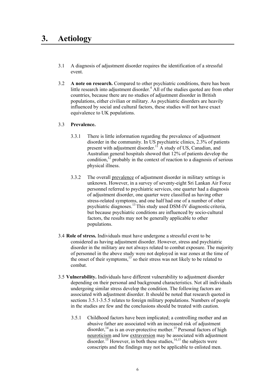- 3.1 A diagnosis of adjustment disorder requires the identification of a stressful event.
- 3.2 **A note on research.** Compared to other psychiatric conditions, there has been little research into adjustment disorder. $4$  All of the studies quoted are from other countries, because there are no studies of adjustment disorder in British populations, either civilian or military. As psychiatric disorders are heavily influenced by social and cultural factors, these studies will not have exact equivalence to UK populations.

#### 3.3 **Prevalence.**

- 3.3.1 There is little information regarding the prevalence of adjustment disorder in the community. In US psychiatric clinics, 2.3% of patients present with adjustment disorder.<sup>11</sup> A study of US, Canadian, and Australian general hospitals showed that 12% of patients develop the condition, $\frac{1}{2}$  probably in the context of reaction to a diagnosis of serious physical illness.
- 3.3.2 The overall prevalence of adjustment disorder in military settings is unknown. However, in a survey of seventy-eight Sri Lankan Air Force personnel referred to psychiatric services, one quarter had a diagnosis of adjustment disorder, one quarter were classified as having other stress-related symptoms, and one half had one of a number of other psychiatric diagnoses.13 This study used DSM-IV diagnostic criteria, but because psychiatric conditions are influenced by socio-cultural factors, the results may not be generally applicable to other populations.
- 3.4 **Role of stress.** Individuals must have undergone a stressful event to be considered as having adjustment disorder. However, stress and psychiatric disorder in the military are not always related to combat exposure. The majority of personnel in the above study were not deployed in war zones at the time of the onset of their symptoms, $13$  so their stress was not likely to be related to combat.
- 3.5 **Vulnerability.** Individuals have different vulnerability to adjustment disorder depending on their personal and background characteristics. Not all individuals undergoing similar stress develop the condition. The following factors are associated with adjustment disorder. It should be noted that research quoted in sections 3.5.1-3.5.5 relates to foreign military populations. Numbers of people in the studies are few and the conclusions should be treated with caution.
	- 3.5.1 Childhood factors have been implicated; a controlling mother and an abusive father are associated with an increased risk of adjustment disorder,  $14$  as is an over-protective mother.<sup>15</sup> Personal factors of high neuroticism and low extraversion may be associated with adjustment disorder.<sup>15</sup> However, in both these studies,  $14,15$  the subjects were conscripts and the findings may not be applicable to enlisted men.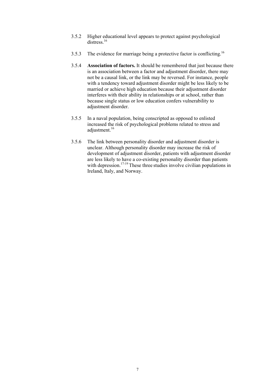- 3.5.2 Higher educational level appears to protect against psychological distress<sup>16</sup>
- 3.5.3 The evidence for marriage being a protective factor is conflicting.16
- 3.5.4 **Association of factors.** It should be remembered that just because there is an association between a factor and adjustment disorder, there may not be a causal link, or the link may be reversed. For instance, people with a tendency toward adjustment disorder might be less likely to be married or achieve high education because their adjustment disorder interferes with their ability in relationships or at school, rather than because single status or low education confers vulnerability to adjustment disorder.
- 3.5.5 In a naval population, being conscripted as opposed to enlisted increased the risk of psychological problems related to stress and adjustment.<sup>16</sup>
- 3.5.6 The link between personality disorder and adjustment disorder is unclear. Although personality disorder may increase the risk of development of adjustment disorder, patients with adjustment disorder are less likely to have a co-existing personality disorder than patients with depression.<sup>17-19</sup> These three studies involve civilian populations in Ireland, Italy, and Norway.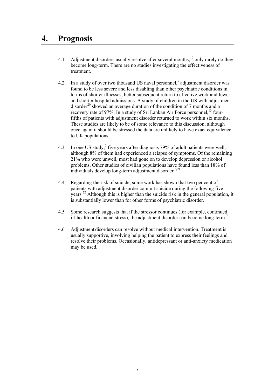### **4. Prognosis**

- 4.1 Adjustment disorders usually resolve after several months;<sup>10</sup> only rarely do they become long-term. There are no studies investigating the effectiveness of treatment.
- 4.2 In a study of over two thousand US naval personnel,<sup>5</sup> adjustment disorder was found to be less severe and less disabling than other psychiatric conditions in terms of shorter illnesses, better subsequent return to effective work and fewer and shorter hospital admissions. A study of children in the US with adjustment disorder<sup>20</sup> showed an average duration of the condition of 7 months and a recovery rate of 97%. In a study of Sri Lankan Air Force personnel,<sup>13</sup> fourfifths of patients with adjustment disorder returned to work within six months. These studies are likely to be of some relevance to this discussion, although once again it should be stressed the data are unlikely to have exact equivalence to UK populations.
- 4.3 In one US study,  $\frac{7}{1}$  five years after diagnosis 79% of adult patients were well, although 8% of them had experienced a relapse of symptoms. Of the remaining 21% who were unwell, most had gone on to develop depression or alcohol problems. Other studies of civilian populations have found less than 18% of individuals develop long-term adjustment disorder.<sup>8,21</sup>
- 4.4 Regarding the risk of suicide, some work has shown that two per cent of patients with adjustment disorder commit suicide during the following five years.<sup>22</sup> Although this is higher than the suicide risk in the general population, it is substantially lower than for other forms of psychiatric disorder.
- 4.5 Some research suggests that if the stressor continues (for example, continued ill-health or financial stress), the adjustment disorder can become long-term.<sup>7</sup>
- 4.6 Adjustment disorders can resolve without medical intervention. Treatment is usually supportive, involving helping the patient to express their feelings and resolve their problems. Occasionally, antidepressant or anti-anxiety medication may be used.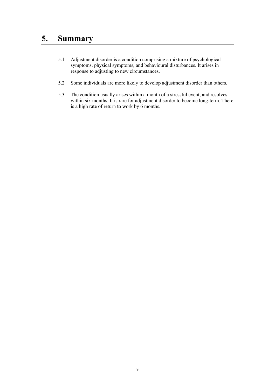## **5. Summary**

- 5.1 Adjustment disorder is a condition comprising a mixture of psychological symptoms, physical symptoms, and behavioural disturbances. It arises in response to adjusting to new circumstances.
- 5.2 Some individuals are more likely to develop adjustment disorder than others.
- 5.3 The condition usually arises within a month of a stressful event, and resolves within six months. It is rare for adjustment disorder to become long-term. There is a high rate of return to work by 6 months.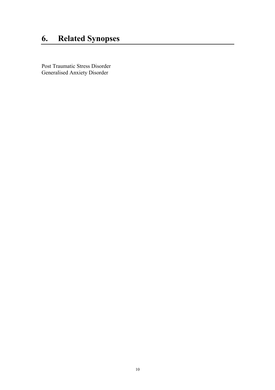# **6. Related Synopses**

Post Traumatic Stress Disorder Generalised Anxiety Disorder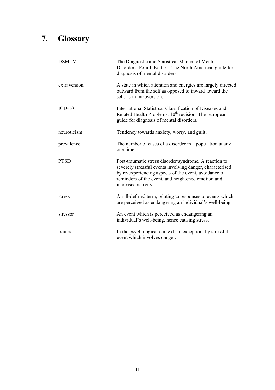| DSM-IV       | The Diagnostic and Statistical Manual of Mental<br>Disorders, Fourth Edition. The North American guide for<br>diagnosis of mental disorders.                                                                                                              |
|--------------|-----------------------------------------------------------------------------------------------------------------------------------------------------------------------------------------------------------------------------------------------------------|
| extraversion | A state in which attention and energies are largely directed<br>outward from the self as opposed to inward toward the<br>self, as in introversion.                                                                                                        |
| $ICD-10$     | International Statistical Classification of Diseases and<br>Related Health Problems: 10 <sup>th</sup> revision. The European<br>guide for diagnosis of mental disorders.                                                                                  |
| neuroticism  | Tendency towards anxiety, worry, and guilt.                                                                                                                                                                                                               |
| prevalence   | The number of cases of a disorder in a population at any<br>one time.                                                                                                                                                                                     |
| <b>PTSD</b>  | Post-traumatic stress disorder/syndrome. A reaction to<br>severely stressful events involving danger, characterised<br>by re-experiencing aspects of the event, avoidance of<br>reminders of the event, and heightened emotion and<br>increased activity. |
| stress       | An ill-defined term, relating to responses to events which<br>are perceived as endangering an individual's well-being.                                                                                                                                    |
| stressor     | An event which is perceived as endangering an<br>individual's well-being, hence causing stress.                                                                                                                                                           |
| trauma       | In the psychological context, an exceptionally stressful<br>event which involves danger.                                                                                                                                                                  |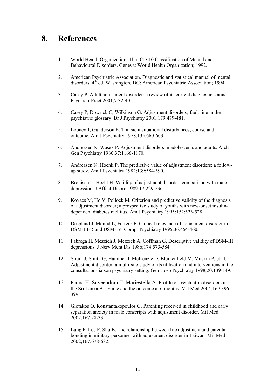### **8. References**

- 1. World Health Organization. The ICD-10 Classification of Mental and Behavioural Disorders. Geneva: World Health Organization; 1992.
- 2. American Psychiatric Association. Diagnostic and statistical manual of mental disorders.  $4<sup>th</sup>$  ed. Washington, DC: American Psychiatric Association; 1994.
- 3. Casey P. Adult adjustment disorder: a review of its current diagnostic status. J Psychiatr Pract 2001;7:32-40.
- 4. Casey P, Dowrick C, Wilkinson G. Adjustment disorders; fault line in the psychiatric glossary. Br J Psychiatry 2001;179:479-481.
- 5. Looney J, Gunderson E. Transient situational disturbances; course and outcome. Am J Psychiatry 1978;135:660-663.
- 6. Andreasen N, Wasek P. Adjustment disorders in adolescents and adults. Arch Gen Psychiatry 1980;37:1166-1170.
- 7. Andreasen N, Hoenk P. The predictive value of adjustment disorders; a followup study. Am J Psychiatry 1982;139:584-590.
- 8. Bronisch T, Hecht H. Validity of adjustment disorder, comparison with major depression. J Affect Disord 1989;17:229-236.
- 9. Kovacs M, Ho V, Pollock M. Criterion and predictive validity of the diagnosis of adjustment disorder; a prospective study of youths with new-onset insulindependent diabetes mellitus. Am J Psychiatry 1995;152:523-528.
- 10. Despland J, Monod L, Ferrero F. Clinical relevance of adjustment disorder in DSM-III-R and DSM-IV. Compr Psychiatry 1995;36:454-460.
- 11. Fabrega H, Mezzich J, Mezzich A, Coffman G. Descriptive validity of DSM-III depressions. J Nerv Ment Dis 1986;174:573-584.
- 12. Strain J, Smith G, Hammer J, McKenzie D, Blumenfield M, Muskin P, et al. Adjustment disorder; a multi-site study of its utilization and interventions in the consultation-liaison psychiatry setting. Gen Hosp Psychiatry 1998;20:139-149.
- 13. Perera H. Suveendran T. Mariestella A. Profile of psychiatric disorders in the Sri Lanka Air Force and the outcome at 6 months. Mil Med 2004;169:396- 399.
- 14. Giotakos O, Konstantakopoulos G. Parenting received in childhood and early separation anxiety in male conscripts with adjustment disorder. Mil Med 2002;167:28-33.
- 15. Lung F. Lee F. Shu B. The relationship between life adjustment and parental bonding in military personnel with adjustment disorder in Taiwan. Mil Med 2002;167:678-682.